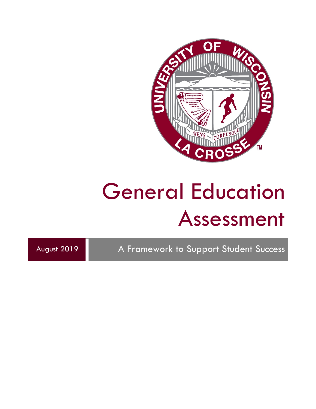

August 2019 A Framework to Support Student Success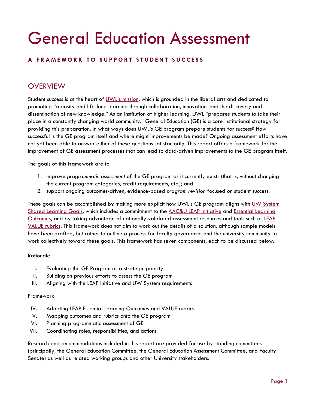#### **A FRAMEWORK TO SUPPORT STUDENT SUCCESS**

## **OVERVIEW**

Student success is at the heart of [UWL's mission,](https://www.uwlax.edu/chancellor/mission/) which is grounded in the liberal arts and dedicated to promoting "curiosity and life-long learning through collaboration, innovation, and the discovery and dissemination of new knowledge." As an institution of higher learning, UWL "prepares students to take their place in a constantly changing world community." General Education (GE) is a core institutional strategy for providing this preparation. In what ways does UWL's GE program prepare students for success? How successful is the GE program itself and where might improvements be made? Ongoing assessment efforts have not yet been able to answer either of these questions satisfactorily. This report offers a framework for the improvement of GE assessment processes that can lead to data-driven improvements to the GE program itself.

The goals of this framework are to

- 1. improve *programmatic assessment* of the GE program as it currently exists (that is, without changing the current program categories, credit requirements, etc.); and
- 2. support ongoing outcomes-driven, evidence-based *program revision* focused on student success.

These goals can be accomplished by making more explicit how UWL's GE program aligns with UW System [Shared Learning Goals,](https://www.wisconsin.edu/uw-policies/download/Shared-Learning-Goals.pdf) which includes a commitment to the [AAC&U LEAP Initiative](https://www.aacu.org/leap) and [Essential Learning](https://www.aacu.org/leap/essential-learning-outcomes)  [Outcomes,](https://www.aacu.org/leap/essential-learning-outcomes) and by taking advantage of nationally-validated assessment resources and tools such as [LEAP](https://www.aacu.org/value)  [VALUE rubrics.](https://www.aacu.org/value) This framework does not aim to work out the details of a solution, although sample models have been drafted, but rather to outline a process for faculty governance and the university community to work collectively toward these goals. This framework has seven components, each to be discussed below:

#### Rationale

- I. Evaluating the GE Program as a strategic priority
- II. Building on previous efforts to assess the GE program
- III. Aligning with the LEAP initiative and UW System requirements

#### Framework

- IV. Adopting LEAP Essential Learning Outcomes and VALUE rubrics
- V. Mapping outcomes and rubrics onto the GE program
- VI. Planning programmatic assessment of GE
- VII. Coordinating roles, responsibilities, and actions

Research and recommendations included in this report are provided for use by standing committees (principally, the General Education Committee, the General Education Assessment Committee, and Faculty Senate) as well as related working groups and other University stakeholders.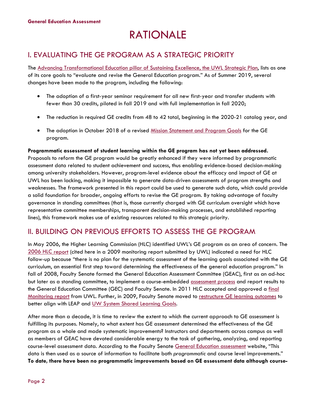## RATIONALE

## I. EVALUATING THE GE PROGRAM AS A STRATEGIC PRIORITY

The [Advancing Transformational Education pillar of Sustaining Excellence, the UWL Strategic Plan,](https://www.uwlax.edu/info/strategic-plan/) lists as one of its core goals to "evaluate and revise the General Education program." As of Summer 2019, several changes have been made to the program, including the following:

- The adoption of a first-year seminar requirement for all new first-year and transfer students with fewer than 30 credits, piloted in fall 2019 and with full implementation in fall 2020;
- The reduction in required GE credits from 48 to 42 total, beginning in the 2020-21 catalog year, and
- The adoption in October 2018 of a revised [Mission Statement and Program Goals](http://catalog.uwlax.edu/undergraduate/generaleducation/) for the GE program.

## **Programmatic assessment of student learning within the GE program has not yet been addressed.**

Proposals to reform the GE program would be greatly enhanced if they were informed by programmatic assessment data related to student achievement and success, thus enabling evidence-based decision-making among university stakeholders. However, program-level evidence about the efficacy and impact of GE at UWL has been lacking, making it impossible to generate data-driven assessments of program strengths and weaknesses. The framework presented in this report could be used to generate such data, which could provide a solid foundation for broader, ongoing efforts to revise the GE program. By taking advantage of faculty governance in standing committees (that is, those currently charged with GE curriculum oversight which have representative committee memberships, transparent decision-making processes, and established reporting lines), this framework makes use of existing resources related to this strategic priority.

## II. BUILDING ON PREVIOUS EFFORTS TO ASSESS THE GE PROGRAM

In May 2006, the Higher Learning Commission (HLC) identified UWL's GE program as an area of concern. The [2006 HLC r](https://uwlax-my.sharepoint.com/:b:/g/personal/kparker_uwlax_edu/ESD2K8nyeCFAqRT1LYZyvwYBiIeABwRI5SSgpN8e_YMFNg?e=dBOKV4)eport (cited here in a 2009 monitoring report submitted by UWL) indicated a need for HLC follow-up because "there is no plan for the systematic assessment of the learning goals associated with the GE curriculum, an essential first step toward determining the effectiveness of the general education program." In fall of 2008, Faculty Senate formed the General Education Assessment Committee (GEAC), first as an ad-hoc but later as a standing committee, to implement a course-embedded [assessment process](https://drive.google.com/file/d/0B5olNNrU5bqudnJHUW9FZDFmb3c/view) and report results to the General Education Committee (GEC) and Faculty Senate. In 2011 HLC accepted and approved a final [Monitoring report](https://uwlax-my.sharepoint.com/:b:/g/personal/kparker_uwlax_edu/Ec6HMM5GgNhBp8JHM_6hj3wBMDpY4FCcAo4V2gDrOGQQug?e=PWmXYX) from UWL. Further, in 2009, Faculty Senate moved to restructure [GE learning outcomes](https://uwlax-my.sharepoint.com/personal/kparker_uwlax_edu/_layouts/15/onedrive.aspx?id=%2Fpersonal%2Fkparker%5Fuwlax%5Fedu%2FDocuments%2FStrategic%20Planning%2FTransformational%20Education%20Pillar%2FGen%20Ed%20AAG%20Folder%2FGen%20Ed%20History%2FNovember%202009%20GE%20SLOs%2Epdf&parent=%2Fpersonal%2Fkparker%5Fuwlax%5Fedu%2FDocuments%2FStrategic%20Planning%2FTransformational%20Education%20Pillar%2FGen%20Ed%20AAG%20Folder%2FGen%20Ed%20History&cid=952cff01-fbd8-4b7b-b419-2b3024e821e4) to better align with LEAP and [UW System Shared Learning Goals.](https://www.wisconsin.edu/uw-policies/download/Shared-Learning-Goals.pdf)

After more than a decade, it is time to review the extent to which the current approach to GE assessment is fulfilling its purposes. Namely, to what extent has GE assessment determined the effectiveness of the GE program as a whole and made systematic improvements? Instructors and departments across campus as well as members of GEAC have devoted considerable energy to the task of gathering, analyzing, and reporting course-level assessment data. According to the Faculty Senate [General Education assessment](https://www.uwlax.edu/faculty-senate/general-education/general-education-assessment/) website, "This data is then used as a source of information to facilitate both *programmatic* and course level improvements." **To date, there have been no programmatic improvements based on GE assessment data although course-**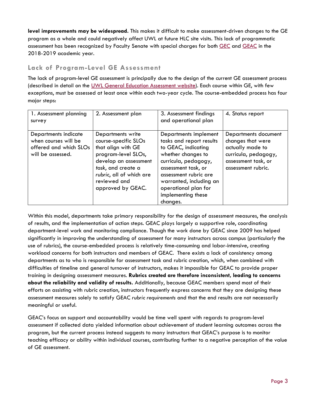**level improvements may be widespread.** This makes it difficult to make assessment-driven changes to the GE program as a whole and could negatively affect UWL at future HLC site visits. This lack of programmatic assessment has been recognized by Faculty Senate with special charges for both [GEC](https://drive.google.com/drive/folders/19JA7RUstroz-gBuPeRwv198cRWLUovCx) and [GEAC](https://drive.google.com/drive/folders/1-XZAsyB3UAyqmLC42QveykiSViu49Va_) in the 2018-2019 academic year.

#### **Lack of Program-Level GE Assessment**

The lack of program-level GE assessment is principally due to the design of the current GE assessment process (described in detail on the [UWL General Education Assessment website\)](https://www.uwlax.edu/faculty-senate/general-education/general-education-assessment/). Each course within GE, with few exceptions, must be assessed at least once within each two-year cycle. The course-embedded process has four major steps:

| 1. Assessment planning<br>survey                                                            | 2. Assessment plan                                                                                                                                                                                     | 3. Assessment findings<br>and operational plan                                                                                                                                                                                                              | 4. Status report                                                                                                                   |
|---------------------------------------------------------------------------------------------|--------------------------------------------------------------------------------------------------------------------------------------------------------------------------------------------------------|-------------------------------------------------------------------------------------------------------------------------------------------------------------------------------------------------------------------------------------------------------------|------------------------------------------------------------------------------------------------------------------------------------|
| Departments indicate<br>when courses will be<br>offered and which SLOs<br>will be assessed. | Departments write<br>course-specific SLOs<br>that align with GE<br>program-level SLOs,<br>develop an assessment<br>task, and create a<br>rubric, all of which are<br>reviewed and<br>approved by GEAC. | Departments implement<br>tasks and report results<br>to GEAC, indicating<br>whether changes to<br>curricula, pedagogy,<br>assessment task, or<br>assessment rubric are<br>warranted, including an<br>operational plan for<br>implementing these<br>changes. | Departments document<br>changes that were<br>actually made to<br>curricula, pedagogy,<br>assessment task, or<br>assessment rubric. |

Within this model, departments take primary responsibility for the design of assessment measures, the analysis of results, and the implementation of action steps. GEAC plays largely a supportive role, coordinating department-level work and monitoring compliance. Though the work done by GEAC since 2009 has helped significantly in improving the understanding of assessment for many instructors across campus (particularly the use of rubrics), the course-embedded process is relatively time-consuming and labor-intensive, creating workload concerns for both instructors and members of GEAC. There exists a lack of consistency among departments as to who is responsible for assessment task and rubric creation, which, when combined with difficulties of timeline and general turnover of instructors, makes it impossible for GEAC to provide proper training in designing assessment measures. **Rubrics created are therefore inconsistent, leading to concerns about the reliability and validity of results.** Additionally, because GEAC members spend most of their efforts on assisting with rubric creation, instructors frequently express concerns that they are designing these assessment measures solely to satisfy GEAC *rubric requirements* and that the end results are not necessarily meaningful or useful.

GEAC's focus on support and accountability would be time well spent with regards to program-level assessment if collected data yielded information about achievement of student learning outcomes across the program, but the current process instead suggests to many instructors that GEAC's purpose is to monitor teaching efficacy or ability within individual courses, contributing further to a negative perception of the value of GE assessment.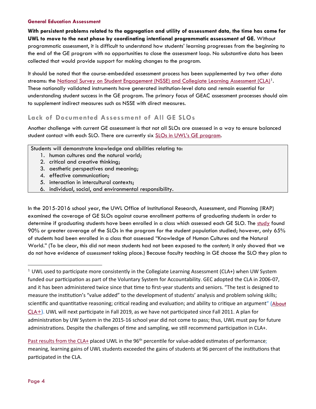**With persistent problems related to the aggregation and utility of assessment data, the time has come for UWL to move to the next phase by coordinating intentional programmatic assessment of GE.** Without programmatic assessment, it is difficult to understand how students' learning progresses from the beginning to the end of the GE program with no opportunities to close the assessment loop. No substantive data has been collected that would provide support for making changes to the program.

It should be noted that the course-embedded assessment process has been supplemented by two other data streams: the [National Survey on Student Engagement \(NSSE\) and Collegiate Learning Assessment \(CLA\)](https://www.uwlax.edu/institutional-research/assessment-transparency-framework/evidence-of-student-learning/)<sup>1</sup>. These nationally validated instruments have generated institution-level data and remain essential for understanding student success in the GE program. The primary focus of GEAC assessment processes should aim to supplement indirect measures such as NSSE with direct measures.

#### **Lack of Documented Assessment of All GE SLOs**

Another challenge with current GE assessment is that not all SLOs are assessed in a way to ensure balanced student contact with each SLO. There are currently six [SLOs in UWL's GE program.](http://catalog.uwlax.edu/undergraduate/generaleducation/#slotext)

Students will demonstrate knowledge and abilities relating to:

- 1. human cultures and the natural world;
- 2. critical and creative thinking;
- 3. aesthetic perspectives and meaning;
- 4. effective communication;
- 5. interaction in intercultural contexts;
- 6. individual, social, and environmental responsibility.

In the 2015-2016 school year, the UWL Office of Institutional Research, Assessment, and Planning (IRAP) examined the coverage of GE SLOs against course enrollment patterns of graduating students in order to determine if graduating students have been enrolled in a class which assessed each GE SLO. The [st](https://uwlax-my.sharepoint.com/:b:/g/personal/kparker_uwlax_edu/EVoULy06tSpDvNOwxjuHxo8BTbGgui6vqq7gLHPU-pOJZQ?e=Tf7d5Y)udy found 90% or greater coverage of the SLOs in the program for the student population studied; however, only 65% of students had been enrolled in a class that assessed "Knowledge of Human Cultures and the Natural World." (To be clear, this did not mean students had not been exposed to the *content*; it only showed that we do not have evidence of *assessment* taking place.) Because faculty teaching in GE choose the SLO they plan to

<span id="page-4-0"></span><sup>1</sup> UWL used to participate more consistently in the Collegiate Learning Assessment (CLA+) when UW System funded our participation as part of the Voluntary System for Accountability. GEC adopted the CLA in 2006-07, and it has been administered twice since that time to first-year students and seniors. "The test is designed to measure the institution's "value added" to the development of students' analysis and problem solving skills; scientific and quantitative reasoning; critical reading and evaluation; and ability to critique an argument" (About  $CLA+$ ). UWL will next participate in Fall 2019, as we have not participated since Fall 2011. A plan for administration by UW System in the 2015-16 school year did not come to pass; thus, UWL must pay for future administrations. Despite the challenges of time and sampling, we still recommend participation in CLA+.

[Past results from the CLA+](https://www.uwlax.edu/globalassets/offices-services/institutional-research/cla-executive-summary-2007-2008.pdf) placed UWL in the 96<sup>th</sup> percentile for value-added estimates of performance; meaning, learning gains of UWL students exceeded the gains of students at 96 percent of the institutions that par�cipated in the CLA.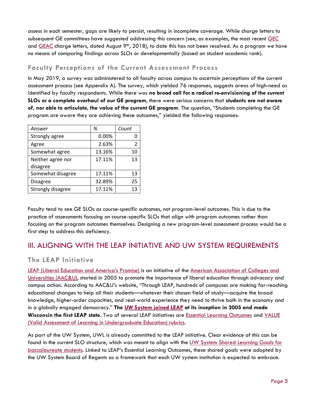assess in each semester, gaps are likely to persist, resulting in incomplete coverage. While charge letters to subsequent GE committees have suggested addressing this concern (see, as examples, the most recent [GEC](https://drive.google.com/file/d/1nqXm3iRRa-KethgXDDxNWiIOP5hl-C4Z/view) and [GEAC](https://drive.google.com/file/d/1mcx_nTP3ghPin0L2Er-MEON7LqetzL06/view) charge letters, dated August 9<sup>th</sup>, 2018), to date this has not been resolved. As a program we have no means of comparing findings across SLOs or developmentally (based on student academic rank).

## **Faculty Perceptions of the Current Assessment Process**

In May 2019, a survey was administered to all faculty across campus to ascertain perceptions of the current assessment process (see Appendix A). The survey, which yielded 76 responses, suggests areas of high-need as identified by faculty respondents. While there was **no broad call for a radical re-envisioning of the current SLOs or a complete overhaul of our GE program**, there were serious concerns that **students are not aware of, nor able to articulate, the value of the current GE program**. The question, "Students completing the GE program are aware they are achieving these outcomes," yielded the following responses:

| Answer            | %      | Count          |
|-------------------|--------|----------------|
| Strongly agree    | 0.00%  |                |
| Agree             | 2.63%  | $\mathfrak{p}$ |
| Somewhat agree    | 13.16% | 10             |
| Neither agree nor | 17.11% | 13             |
| disagree          |        |                |
| Somewhat disagree | 17.11% | 13             |
| <b>Disagree</b>   | 32.89% | 25             |
| Strongly disagree | 17.11% | 13             |

Faculty tend to see GE SLOs as course-specific outcomes, not program-level outcomes. This is due to the practice of assessments focusing on course-specific SLOs that align with program outcomes rather than focusing on the program outcomes themselves. Designing a new program-level assessment process would be a first step to address this deficiency.

## III. ALIGNING WITH THE LEAP INITIATIVE AND UW SYSTEM REQUIREMENTS

## **The LEAP Initiative**

[LEAP \(Liberal Education and America's Promise\)](https://www.aacu.org/leap) is an initiative of the [American Association of Colleges and](https://www.aacu.org/)  [Universities \(AAC&U\),](https://www.aacu.org/) started in 2005 to promote the importance of liberal education through advocacy and campus action. According to AAC&U's website, "Through LEAP, hundreds of campuses are making far-reaching educational changes to help all their students—whatever their chosen field of study—acquire the broad knowledge, higher-order capacities, and real-world experience they need to thrive both in the economy and in a globally engaged democracy." **The [UW System joined LEAP](https://www.aacu.org/leap/states/wisconsin) at its inception in 2005 and made Wisconsin the first LEAP state.** Two of several LEAP initiatives are [Essential Learning Outcomes](https://www.aacu.org/leap/essential-learning-outcomes) and [VALUE](https://www.aacu.org/value-rubrics)  [\(Valid Assessment of Learning in Undergraduate Education\) rubrics.](https://www.aacu.org/value-rubrics)

As part of the UW System, UWL is already committed to the LEAP initiative. Clear evidence of this can be found in the current SLO structure, which was meant to align with the [UW System Shared Learning Goals](https://www.wisconsin.edu/uw-policies/download/Shared-Learning-Goals.pdf) for [baccalaureate students.](https://www.wisconsin.edu/uw-policies/download/Shared-Learning-Goals.pdf) Linked to LEAP's Essential Learning Outcomes, these shared goals were adopted by the UW System Board of Regents as a framework that each UW system institution is expected to embrace.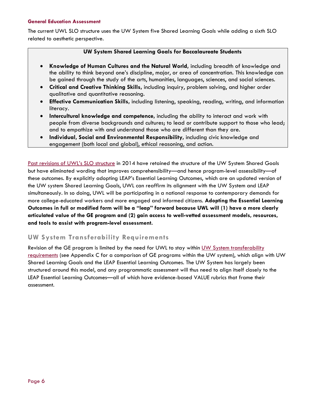The current UWL SLO structure uses the UW System five Shared Learning Goals while adding a sixth SLO related to aesthetic perspective.

#### **UW System Shared Learning Goals for Baccalaureate Students**

- **Knowledge of Human Cultures and the Natural World,** including breadth of knowledge and the ability to think beyond one's discipline, major, or area of concentration. This knowledge can be gained through the study of the arts, humanities, languages, sciences, and social sciences.
- **Critical and Creative Thinking Skills,** including inquiry, problem solving, and higher order qualitative and quantitative reasoning.
- **Effective Communication Skills,** including listening, speaking, reading, writing, and information literacy.
- **Intercultural knowledge and competence,** including the ability to interact and work with people from diverse backgrounds and cultures; to lead or contribute support to those who lead; and to empathize with and understand those who are different than they are.
- **Individual, Social and Environmental Responsibility,** including civic knowledge and engagement (both local and global), ethical reasoning, and action.

[Past revisions of UWL's SLO structure](https://drive.google.com/file/d/0B5olNNrU5bquT1ZkbUxVMkROdEU/view?usp=sharing) in 2014 have retained the structure of the UW System Shared Goals but have eliminated wording that improves comprehensibility—and hence program-level assessibility—of these outcomes. By explicitly adopting LEAP's Essential Learning Outcomes, which are an updated version of the UW system Shared Learning Goals, UWL can reaffirm its alignment with the UW System and LEAP simultaneously. In so doing, UWL will be participating in a national response to contemporary demands for more college-educated workers and more engaged and informed citizens. **Adopting the Essential Learning Outcomes in full or modified form will be a "leap" forward because UWL will (1) have a more clearly articulated value of the GE program and (2) gain access to well-vetted assessment models, resources, and tools to assist with program-level assessment.**

#### **UW System Transferability Requirements**

Revision of the GE program is limited by the need for UWL to stay within [UW System transferability](https://www.wisconsin.edu/uw-policies/uw-system-administrative-policies/uw-system-undergraduate-transfer-policy/)  [requirements](https://www.wisconsin.edu/uw-policies/uw-system-administrative-policies/uw-system-undergraduate-transfer-policy/) (see Appendix C for a comparison of GE programs within the UW system), which align with UW Shared Learning Goals and the LEAP Essential Learning Outcomes. The UW System has largely been structured around this model, and any programmatic assessment will thus need to align itself closely to the LEAP Essential Learning Outcomes—all of which have evidence-based VALUE rubrics that frame their assessment.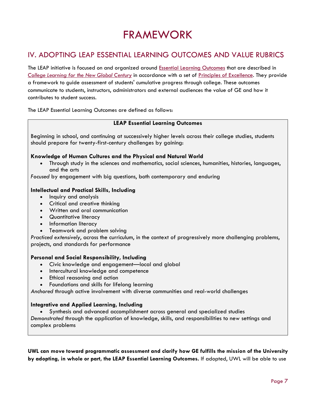## FRAMEWORK

## IV. ADOPTING LEAP ESSENTIAL LEARNING OUTCOMES AND VALUE RUBRICS

The LEAP initiative is focused on and organized around **Essential Learning Outcomes** that are described in *[College Learning for the New](http://www.aacu.org/leap/documents/GlobalCentury_final.pdf) Global Century* in accordance with a set of [Principles of Excellence.](http://www.aacu.org/leap/documents/PrinciplesExcellence_chart.pdf) They provide a framework to guide assessment of students' cumulative progress through college. These outcomes communicate to students, instructors, administrators and external audiences the value of GE and how it contributes to student success.

The LEAP Essential Learning Outcomes are defined as follows:

#### **LEAP Essential Learning Outcomes**

Beginning in school, and continuing at successively higher levels across their college studies, students should prepare for twenty-first-century challenges by gaining:

#### **Knowledge of Human Cultures and the Physical and Natural World**

• Through study in the sciences and mathematics, social sciences, humanities, histories, languages, and the arts

*Focused* by engagement with big questions, both contemporary and enduring

#### **Intellectual and Practical Skills, Including**

- Inquiry and analysis
- Critical and creative thinking
- Written and oral communication
- Quantitative literacy
- Information literacy
- Teamwork and problem solving

*Practiced extensively*, across the curriculum, in the context of progressively more challenging problems, projects, and standards for performance

#### **Personal and Social Responsibility, Including**

- Civic knowledge and engagement—local and global
- Intercultural knowledge and competence
- Ethical reasoning and action
- Foundations and skills for lifelong learning

*Anchored* through active involvement with diverse communities and real-world challenges

#### **Integrative and Applied Learning, Including**

• Synthesis and advanced accomplishment across general and specialized studies

*Demonstrated* through the application of knowledge, skills, and responsibilities to new settings and complex problems

**UWL can move toward programmatic assessment and clarify how GE fulfills the mission of the University by adopting, in whole or part, the LEAP Essential Learning Outcomes.** If adopted, UWL will be able to use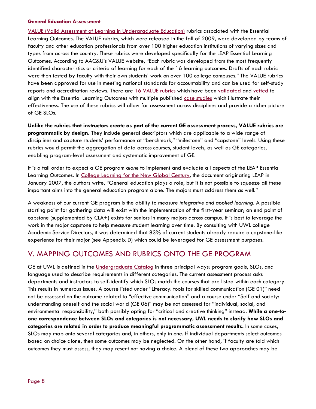[VALUE \(Valid Assessment of Learning in Undergraduate Education\)](https://www.aacu.org/value) rubrics associated with the Essential Learning Outcomes. The VALUE rubrics, which were released in the fall of 2009, were developed by teams of faculty and other education professionals from over 100 higher education institutions of varying sizes and types from across the country. These rubrics were developed specifically for the LEAP Essential Learning Outcomes. According to AAC&U's VALUE website, "Each rubric was developed from the most frequently identified characteristics or criteria of learning for each of the 16 learning outcomes. Drafts of each rubric were then tested by faculty with their own students' work on over 100 college campuses." The VALUE rubrics have been approved for use in meeting national standards for accountability and can be used for self-study reports and accreditation reviews. There are [16 VALUE rubrics](https://www.aacu.org/value-rubrics) which have been [validated](https://www.aacu.org/value/research) and [vetted](https://www.aacu.org/peerreview/2018/Fall/Research) to align with the Essential Learning Outcomes with multiple published [case studies](https://www.aacu.org/value/casestudies) which illustrate their effectiveness. The use of these rubrics will allow for assessment across disciplines and provide a richer picture of GE SLOs.

**Unlike the rubrics that instructors create as part of the current GE assessment process, VALUE rubrics are programmatic by design.** They include general descriptors which are applicable to a wide range of disciplines and capture students' performance at "benchmark," "milestone" and "capstone" levels. Using these rubrics would permit the aggregation of data across courses, student levels, as well as GE categories, enabling program-level assessment and systematic improvement of GE.

It is a tall order to expect a GE program *alone* to implement and evaluate all aspects of the LEAP Essential Learning Outcomes. In [College Learning for the New Global Century,](https://uwlax-my.sharepoint.com/:b:/g/personal/kparker_uwlax_edu/EQkbVr-9UcVEm9xF5FbCaW8BFlAv5fiHyvb17nXo9KN0bw?e=hgksyt) the document originating LEAP in January 2007, the authors write, "General education plays a role, but it is not possible to squeeze all these important aims into the general education program alone. The majors must address them as well."

A weakness of our current GE program is the ability to measure *integrative and applied learning*. A possible starting point for gathering data will exist with the implementation of the first-year seminar; an end point of capstone (supplemented by CLA+) exists for seniors in many majors across campus. It is best to leverage the work in the major capstone to help measure student learning over time. By consulting with UWL college Academic Service Directors, it was determined that 83% of current students already require a capstone-like experience for their major (see Appendix D) which could be leveraged for GE assessment purposes.

## V. MAPPING OUTCOMES AND RUBRICS ONTO THE GE PROGRAM

GE at UWL is defined in the [Undergraduate Catalog](http://catalog.uwlax.edu/undergraduate/generaleducation/) in three principal ways: program goals, SLOs, and language used to describe requirements in different categories. The current assessment process asks departments and instructors to self-identify which SLOs match the courses that are listed within each category. This results in numerous issues. A course listed under "Literacy: tools for skilled communication (GE 01)" need not be assessed on the outcome related to "effective communication" and a course under "Self and society: understanding oneself and the social world (GE 06)" may be not assessed for "individual, social, and environmental responsibility," both possibly opting for "critical and creative thinking" instead. **While a one-toone correspondence between SLOs and categories is not necessary, UWL needs to clarify how SLOs and categories are related in order to produce meaningful programmatic assessment results.** In some cases, SLOs may map onto several categories and, in others, only in one. If individual departments select outcomes based on choice alone, then some outcomes may be neglected. On the other hand, if faculty are told which outcomes they must assess, they may resent not having a choice. A blend of these two approaches may be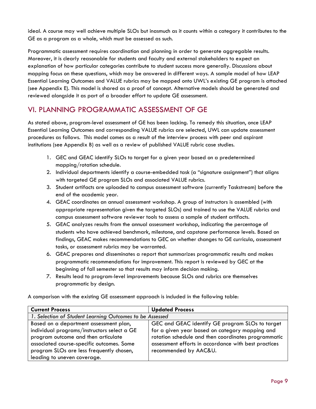ideal. A course may well achieve multiple SLOs but inasmuch as it counts within a category it contributes to the GE as a program as a whole, which must be assessed as such.

Programmatic assessment requires coordination and planning in order to generate aggregable results. Moreover, it is clearly reasonable for students and faculty and external stakeholders to expect an explanation of how particular categories contribute to student success more generally. Discussions about mapping focus on these questions, which may be answered in different ways. A sample model of how LEAP Essential Learning Outcomes and VALUE rubrics may be mapped onto UWL's existing GE program is attached (see Appendix E). This model is shared as a proof of concept. Alternative models should be generated and reviewed alongside it as part of a broader effort to update GE assessment.

## VI. PLANNING PROGRAMMATIC ASSESSMENT OF GE

As stated above, program-level assessment of GE has been lacking. To remedy this situation, once LEAP Essential Learning Outcomes and corresponding VALUE rubrics are selected, UWL can update assessment procedures as follows. This model comes as a result of the interview process with peer and aspirant institutions (see Appendix B) as well as a review of published VALUE rubric case studies.

- 1. GEC and GEAC identify SLOs to target for a given year based on a predetermined mapping/rotation schedule.
- 2. Individual departments identify a course-embedded task (a "signature assignment") that aligns with targeted GE program SLOs and associated VALUE rubrics.
- 3. Student artifacts are uploaded to campus assessment software (currently Taskstream) before the end of the academic year.
- 4. GEAC coordinates an annual assessment workshop. A group of instructors is assembled (with appropriate representation given the targeted SLOs) and trained to use the VALUE rubrics and campus assessment software reviewer tools to assess a sample of student artifacts.
- 5. GEAC analyzes results from the annual assessment workshop, indicating the percentage of students who have achieved benchmark, milestone, and capstone performance levels. Based on findings, GEAC makes recommendations to GEC on whether changes to GE curricula, assessment tasks, or assessment rubrics may be warranted.
- 6. GEAC prepares and disseminates a report that summarizes programmatic results and makes programmatic recommendations for improvement. This report is reviewed by GEC at the beginning of fall semester so that results may inform decision making.
- 7. Results lead to program-level improvements because SLOs and rubrics are themselves programmatic by design.

A comparison with the existing GE assessment approach is included in the following table:

| <b>Current Process</b>                                                                                                                                                                                     | <b>Updated Process</b>                                                                                                                                                                 |  |
|------------------------------------------------------------------------------------------------------------------------------------------------------------------------------------------------------------|----------------------------------------------------------------------------------------------------------------------------------------------------------------------------------------|--|
| 1. Selection of Student Learning Outcomes to be Assessed                                                                                                                                                   |                                                                                                                                                                                        |  |
| Based on a department assessment plan,                                                                                                                                                                     | GEC and GEAC identify GE program SLOs to target                                                                                                                                        |  |
| individual programs/instructors select a GE<br>program outcome and then articulate<br>associated course-specific outcomes. Some<br>program SLOs are less frequently chosen,<br>leading to uneven coverage. | for a given year based on category mapping and<br>rotation schedule and then coordinates programmatic<br>assessment efforts in accordance with best practices<br>recommended by AAC&U. |  |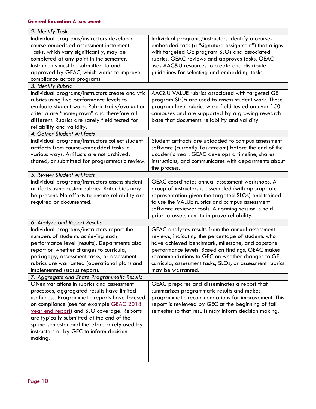| 2. Identify Task                                                                                                                                                                                                                                                                                                                                                                        |                                                                                                                                                                                                                                                                                                                                                     |
|-----------------------------------------------------------------------------------------------------------------------------------------------------------------------------------------------------------------------------------------------------------------------------------------------------------------------------------------------------------------------------------------|-----------------------------------------------------------------------------------------------------------------------------------------------------------------------------------------------------------------------------------------------------------------------------------------------------------------------------------------------------|
| Individual programs/instructors develop a<br>course-embedded assessment instrument.<br>Tasks, which vary significantly, may be<br>completed at any point in the semester.<br>Instruments must be submitted to and<br>approved by GEAC, which works to improve<br>compliance across programs.<br>3. Identify Rubric                                                                      | Individual programs/instructors identify a course-<br>embedded task (a "signature assignment") that aligns<br>with targeted GE program SLOs and associated<br>rubrics. GEAC reviews and approves tasks. GEAC<br>uses AAC&U resources to create and distribute<br>guidelines for selecting and embedding tasks.                                      |
|                                                                                                                                                                                                                                                                                                                                                                                         |                                                                                                                                                                                                                                                                                                                                                     |
| Individual programs/instructors create analytic<br>rubrics using five performance levels to<br>evaluate student work. Rubric traits/evaluation<br>criteria are "homegrown" and therefore all<br>different. Rubrics are rarely field tested for<br>reliability and validity.                                                                                                             | AAC&U VALUE rubrics associated with targeted GE<br>program SLOs are used to assess student work. These<br>program-level rubrics were field tested on over 150<br>campuses and are supported by a growing research<br>base that documents reliability and validity.                                                                                  |
| 4. Gather Student Artifacts                                                                                                                                                                                                                                                                                                                                                             |                                                                                                                                                                                                                                                                                                                                                     |
| Individual programs/instructors collect student<br>artifacts from course-embedded tasks in<br>various ways. Artifacts are not archived,<br>shared, or submitted for programmatic review.                                                                                                                                                                                                | Student artifacts are uploaded to campus assessment<br>software (currently Taskstream) before the end of the<br>academic year. GEAC develops a timeline, shares<br>instructions, and communicates with departments about<br>the process.                                                                                                            |
| 5. Review Student Artifacts                                                                                                                                                                                                                                                                                                                                                             |                                                                                                                                                                                                                                                                                                                                                     |
| Individual programs/instructors assess student<br>artifacts using custom rubrics. Rater bias may<br>be present. No efforts to ensure reliability are<br>required or documented.                                                                                                                                                                                                         | GEAC coordinates annual assessment workshops. A<br>group of instructors is assembled (with appropriate<br>representation given the targeted SLOs) and trained<br>to use the VALUE rubrics and campus assessment<br>software reviewer tools. A norming session is held<br>prior to assessment to improve reliability.                                |
| 6. Analyze and Report Results                                                                                                                                                                                                                                                                                                                                                           |                                                                                                                                                                                                                                                                                                                                                     |
| Individual programs/instructors report the<br>numbers of students achieving each<br>performance level (results). Departments also<br>report on whether changes to curricula,<br>pedagogy, assessment tasks, or assessment<br>rubrics are warranted (operational plan) and<br>implemented (status report).                                                                               | GEAC analyzes results from the annual assessment<br>reviews, indicating the percentage of students who<br>have achieved benchmark, milestone, and capstone<br>performance levels. Based on findings, GEAC makes<br>recommendations to GEC on whether changes to GE<br>curricula, assessment tasks, SLOs, or assessment rubrics<br>may be warranted. |
| 7. Aggregate and Share Programmatic Results                                                                                                                                                                                                                                                                                                                                             |                                                                                                                                                                                                                                                                                                                                                     |
| Given variations in rubrics and assessment<br>processes, aggregated results have limited<br>usefulness. Programmatic reports have focused<br>on compliance (see for example GEAC 2018<br>year end report) and SLO coverage. Reports<br>are typically submitted at the end of the<br>spring semester and therefore rarely used by<br>instructors or by GEC to inform decision<br>making. | GEAC prepares and disseminates a report that<br>summarizes programmatic results and makes<br>programmatic recommendations for improvement. This<br>report is reviewed by GEC at the beginning of fall<br>semester so that results may inform decision making.                                                                                       |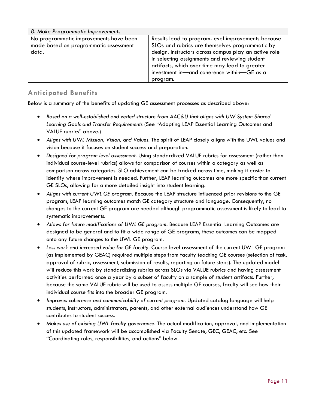| 8. Make Programmatic Improvements                                                        |                                                                                                                                                                                                                                                                                                                              |
|------------------------------------------------------------------------------------------|------------------------------------------------------------------------------------------------------------------------------------------------------------------------------------------------------------------------------------------------------------------------------------------------------------------------------|
| No programmatic improvements have been<br>made based on programmatic assessment<br>data. | Results lead to program-level improvements because<br>SLOs and rubrics are themselves programmatic by<br>design. Instructors across campus play an active role<br>in selecting assignments and reviewing student<br>artifacts, which over time may lead to greater<br>investment in-and coherence within-GE as a<br>program. |

#### **Anticipated Benefits**

Below is a summary of the benefits of updating GE assessment processes as described above:

- *Based on a well-established and vetted structure from AAC&U that aligns with UW System Shared Learning Goals and Transfer Requirements* (See "Adopting LEAP Essential Learning Outcomes and VALUE rubrics" above.)
- *Aligns with UWL Mission, Vision, and Values.* The spirit of LEAP closely aligns with the UWL values and vision because it focuses on student success and preparation.
- *Designed for program level assessment.* Using standardized VALUE rubrics for assessment (rather than individual course-level rubrics) allows for comparison of courses within a category as well as comparison across categories. SLO achievement can be tracked across time, making it easier to identify where improvement is needed. Further, LEAP learning outcomes are more specific than current GE SLOs, allowing for a more detailed insight into student learning.
- *Aligns with current UWL GE program.* Because the LEAP structure influenced prior revisions to the GE program, LEAP learning outcomes match GE category structure and language. Consequently, no changes to the current GE program are needed although programmatic assessment is likely to lead to systematic improvements.
- Allows for future modifications of UWL GE program. Because LEAP Essential Learning Outcomes are designed to be general and to fit a wide range of GE programs, these outcomes can be mapped onto any future changes to the UWL GE program.
- *Less work and increased value for GE faculty.* Course level assessment of the current UWL GE program (as implemented by GEAC) required multiple steps from faculty teaching GE courses (selection of task, approval of rubric, assessment, submission of results, reporting on future steps). The updated model will reduce this work by standardizing rubrics across SLOs via VALUE rubrics and having assessment activities performed once a year by a subset of faculty on a sample of student artifacts. Further, because the same VALUE rubric will be used to assess multiple GE courses, faculty will see how their individual course fits into the broader GE program.
- Improves coherence and communicability of current program. Updated catalog language will help students, instructors, administrators, parents, and other external audiences understand how GE contributes to student success.
- *Makes use of existing UWL faculty governance.* The actual modification, approval, and implementation of this updated framework will be accomplished via Faculty Senate, GEC, GEAC, etc. See "Coordinating roles, responsibilities, and actions" below.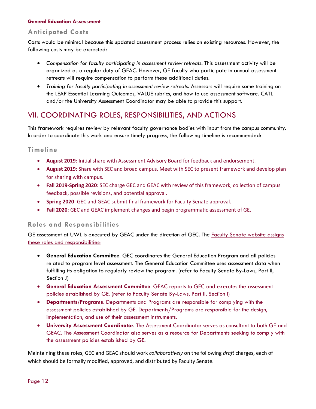#### **Anticipated Costs**

Costs would be minimal because this updated assessment process relies on existing resources. However, the following costs may be expected:

- *Compensation for faculty participating in assessment review retreats.* This assessment activity will be organized as a regular duty of GEAC. However, GE faculty who participate in annual assessment retreats will require compensation to perform these additional duties.
- Training for faculty participating in assessment review retreats. Assessors will require some training on the LEAP Essential Learning Outcomes, VALUE rubrics, and how to use assessment software. CATL and/or the University Assessment Coordinator may be able to provide this support.

## VII. COORDINATING ROLES, RESPONSIBILITIES, AND ACTIONS

This framework requires review by relevant faculty governance bodies with input from the campus community. In order to coordinate this work and ensure timely progress, the following timeline is recommended:

#### **Timeline**

- August 2019: Initial share with Assessment Advisory Board for feedback and endorsement.
- **August 2019**: Share with SEC and broad campus. Meet with SEC to present framework and develop plan for sharing with campus.
- **Fall 2019-Spring 2020**: SEC charge GEC and GEAC with review of this framework, collection of campus feedback, possible revisions, and potential approval.
- **Spring 2020**: GEC and GEAC submit final framework for Faculty Senate approval.
- Fall 2020: GEC and GEAC implement changes and begin programmatic assessment of GE.

#### **Roles and Responsibilities**

GE assessment at UWL is executed by GEAC under the direction of GEC. The **Faculty Senate website assigns** these roles and responsibilities:

- **General Education Committee**. GEC coordinates the General Education Program and all policies related to program level assessment. The General Education Committee uses assessment data when fulfilling its obligation to regularly review the program. (refer to Faculty Senate By-Laws, Part II, Section J)
- **General Education Assessment Committee**. GEAC reports to GEC and executes the assessment policies established by GE. (refer to Faculty Senate By-Laws, Part II, Section I)
- **Departments/Programs**. Departments and Programs are responsible for complying with the assessment policies established by GE. Departments/Programs are responsible for the design, implementation, and use of their assessment instruments.
- **University Assessment Coordinator**. The Assessment Coordinator serves as consultant to both GE and GEAC. The Assessment Coordinator also serves as a resource for Departments seeking to comply with the assessment policies established by GE.

Maintaining these roles, GEC and GEAC should work *collaboratively* on the following *draft* charges, each of which should be formally modified, approved, and distributed by Faculty Senate.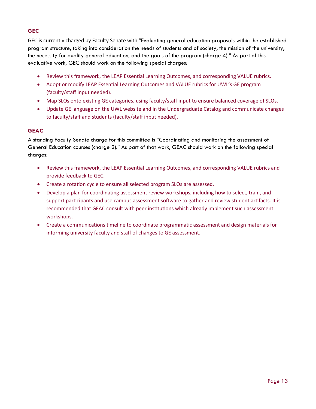#### **GEC**

GEC is currently charged by Faculty Senate with "Evaluating general education proposals within the established program structure, taking into consideration the needs of students and of society, the mission of the university, the necessity for quality general education, and the goals of the program (charge 4)." As part of this evaluative work, GEC should work on the following special charges:

- Review this framework, the LEAP Essential Learning Outcomes, and corresponding VALUE rubrics.
- Adopt or modify LEAP Essential Learning Outcomes and VALUE rubrics for UWL's GE program (faculty/staff input needed).
- Map SLOs onto existing GE categories, using faculty/staff input to ensure balanced coverage of SLOs.
- Update GE language on the UWL website and in the Undergraduate Catalog and communicate changes to faculty/staff and students (faculty/staff input needed).

#### **GEAC**

A standing Faculty Senate charge for this committee is "Coordinating and monitoring the assessment of General Education courses (charge 2)." As part of that work, GEAC should work on the following special charges:

- Review this framework, the LEAP Essential Learning Outcomes, and corresponding VALUE rubrics and provide feedback to GEC.
- Create a rotation cycle to ensure all selected program SLOs are assessed.
- Develop a plan for coordinating assessment review workshops, including how to select, train, and support participants and use campus assessment software to gather and review student artifacts. It is recommended that GEAC consult with peer institutions which already implement such assessment workshops.
- Create a communications timeline to coordinate programmatic assessment and design materials for informing university faculty and staff of changes to GE assessment.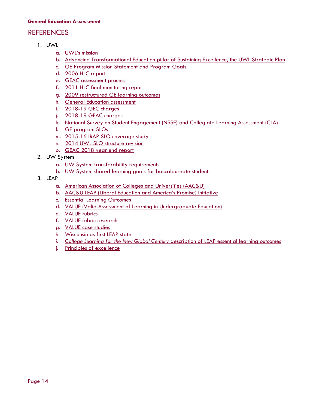## **REFERENCES**

- 1. UWL
	- a. [UWL's mission](https://www.uwlax.edu/chancellor/mission/)
	- b. [Advancing Transformational Education pillar of Sustaining Excellence, the UWL Strategic Plan](https://www.uwlax.edu/info/strategic-plan/)
	- c. [GE Program Mission Statement and Program Goals](http://catalog.uwlax.edu/undergraduate/generaleducation/)
	- d. [2006 HLC r](https://uwlax-my.sharepoint.com/:b:/g/personal/kparker_uwlax_edu/ESD2K8nyeCFAqRT1LYZyvwYBiIeABwRI5SSgpN8e_YMFNg?e=dBOKV4)eport
	- e. [GEAC assessment process](https://drive.google.com/file/d/0B5olNNrU5bqudnJHUW9FZDFmb3c/view)
	- f. [2011 HLC final monitoring report](https://uwlax-my.sharepoint.com/:b:/g/personal/kparker_uwlax_edu/Ec6HMM5GgNhBp8JHM_6hj3wBMDpY4FCcAo4V2gDrOGQQug?e=PWmXYX)
	- g. [2009 restructured GE learning outcomes](https://uwlax-my.sharepoint.com/personal/kparker_uwlax_edu/_layouts/15/onedrive.aspx?id=%2Fpersonal%2Fkparker%5Fuwlax%5Fedu%2FDocuments%2FStrategic%20Planning%2FTransformational%20Education%20Pillar%2FGen%20Ed%20AAG%20Folder%2FGen%20Ed%20History%2FNovember%202009%20GE%20SLOs%2Epdf&parent=%2Fpersonal%2Fkparker%5Fuwlax%5Fedu%2FDocuments%2FStrategic%20Planning%2FTransformational%20Education%20Pillar%2FGen%20Ed%20AAG%20Folder%2FGen%20Ed%20History&cid=952cff01-fbd8-4b7b-b419-2b3024e821e4)
	- h. [General Education assessment](https://www.uwlax.edu/faculty-senate/general-education/general-education-assessment/)
	- i. [2018-19 GEC charges](https://drive.google.com/drive/folders/19JA7RUstroz-gBuPeRwv198cRWLUovCx)
	- j. [2018-19 GEAC charges](https://drive.google.com/drive/folders/1-XZAsyB3UAyqmLC42QveykiSViu49Va_)
	- k. [National Survey on Student Engagement \(NSSE\) and Collegiate Learning Assessment \(CLA\)](https://www.uwlax.edu/institutional-research/assessment-transparency-framework/evidence-of-student-learning/)
	- l. [GE program SLOs](http://catalog.uwlax.edu/undergraduate/generaleducation/#slotext)
	- m. [2015-16 IRAP SLO coverage st](https://uwlax-my.sharepoint.com/:b:/g/personal/kparker_uwlax_edu/EVoULy06tSpDvNOwxjuHxo8BTbGgui6vqq7gLHPU-pOJZQ?e=Tf7d5Y)udy
	- n. [2014 UWL SLO structure revision](https://drive.google.com/file/d/0B5olNNrU5bquT1ZkbUxVMkROdEU/view?usp=sharing)
	- o. GEAC 2018 year end report
- 2. UW System
	- a. [UW System transferability requirements](https://www.wisconsin.edu/uw-policies/uw-system-administrative-policies/uw-system-undergraduate-transfer-policy/)
	- b. [UW System shared learning goals for baccalaureate students](https://www.wisconsin.edu/uw-policies/download/Shared-Learning-Goals.pdf)
- 3. LEAP
	- a. [American Association of Colleges and Universities \(AAC&U\)](https://www.aacu.org/)
	- b. [AAC&U LEAP \(Liberal Education and America's Promise\) initiative](https://www.aacu.org/leap)
	- c. [Essential Learning Outcomes](https://www.aacu.org/leap/essential-learning-outcomes)
	- d. [VALUE \(Valid Assessment of Learning in Undergraduate Education\)](https://www.aacu.org/value)
	- e. [VALUE rubrics](https://www.aacu.org/value-rubrics)
	- f. [VALUE rubric research](https://www.aacu.org/value/research)
	- g. [VALUE case studies](https://www.aacu.org/value/casestudies)
	- h. [Wisconsin as first LEAP state](https://www.aacu.org/leap/states/wisconsin)
	- *i. College Learning for the New Global Century* [description of LEAP essential learning outcomes](http://www.aacu.org/leap/documents/GlobalCentury_final.pdf)
	- j. [Principles of excellence](http://www.aacu.org/leap/documents/PrinciplesExcellence_chart.pdf)